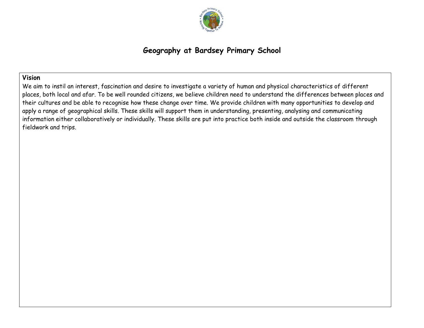

# **Geography at Bardsey Primary School**

# **Vision**

We aim to instil an interest, fascination and desire to investigate a variety of human and physical characteristics of different places, both local and afar. To be well rounded citizens, we believe children need to understand the differences between places and their cultures and be able to recognise how these change over time. We provide children with many opportunities to develop and apply a range of geographical skills. These skills will support them in understanding, presenting, analysing and communicating information either collaboratively or individually. These skills are put into practice both inside and outside the classroom through fieldwork and trips.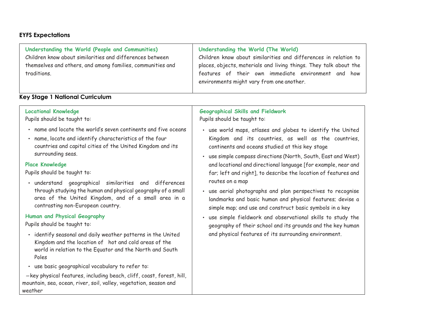### **EYFS Expectations**

| Understanding the World (People and Communities)           | Understanding the World (The World)                               |  |
|------------------------------------------------------------|-------------------------------------------------------------------|--|
| Children know about similarities and differences between   | Children know about similarities and differences in relation to   |  |
| themselves and others, and among families, communities and | places, objects, materials and living things. They talk about the |  |
| traditions.                                                | features of their own immediate environment and how               |  |
|                                                            | environments might vary from one another.                         |  |
|                                                            |                                                                   |  |

#### **Key Stage 1 National Curriculum**

#### **Locational Knowledge**

Pupils should be taught to:

- name and locate the world's seven continents and five oceans
- name, locate and identify characteristics of the four countries and capital cities of the United Kingdom and its surrounding seas.

#### **Place Knowledge**

Pupils should be taught to:

• understand geographical similarities and differences through studying the human and physical geography of a small area of the United Kingdom, and of a small area in a contrasting non-European country.

#### **Human and Physical Geography**

Pupils should be taught to:

- identify seasonal and daily weather patterns in the United Kingdom and the location of hot and cold areas of the world in relation to the Equator and the North and South Poles
- use basic geographical vocabulary to refer to:

-key physical features, including beach, cliff, coast, forest, hill, mountain, sea, ocean, river, soil, valley, vegetation, season and weather

#### **Geographical Skills and Fieldwork** Pupils should be taught to:

- use world maps, atlases and globes to identify the United Kingdom and its countries, as well as the countries, continents and oceans studied at this key stage
- use simple compass directions (North, South, East and West) and locational and directional language [for example, near and far; left and right], to describe the location of features and routes on a map
- use aerial photographs and plan perspectives to recognise landmarks and basic human and physical features; devise a simple map; and use and construct basic symbols in a key
- use simple fieldwork and observational skills to study the geography of their school and its grounds and the key human and physical features of its surrounding environment.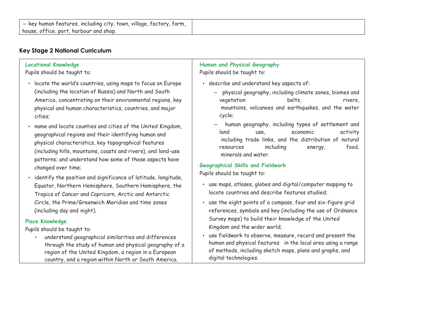# **Key Stage 2 National Curriculum**

#### **Locational Knowledge**

Pupils should be taught to:

- locate the world's countries, using maps to focus on Europe (including the location of Russia) and North and South America, concentrating on their environmental regions, key physical and human characteristics, countries, and major cities;
- name and locate counties and cities of the United Kingdom, geographical regions and their identifying human and physical characteristics, key topographical features (including hills, mountains, coasts and rivers), and land-use patterns; and understand how some of these aspects have changed over time;
- identify the position and significance of latitude, longitude, Equator, Northern Hemisphere, Southern Hemisphere, the Tropics of Cancer and Capricorn, Arctic and Antarctic Circle, the Prime/Greenwich Meridian and time zones (including day and night).

#### **Place Knowledge**

Pupils should be taught to:

• understand geographical similarities and differences through the study of human and physical geography of a region of the United Kingdom, a region in a European country, and a region within North or South America.

#### **Human and Physical Geography** Pupils should be taught to:

- describe and understand key aspects of:
	- physical geography, including climate zones, biomes and vegetation belts, nivers, mountains, volcanoes and earthquakes, and the water cycle;
	- human geography, including types of settlement and land use, economic activity including trade links, and the distribution of natural resources including energy, food, minerals and water.

### **Geographical Skills and Fieldwork**

Pupils should be taught to:

- use maps, atlases, globes and digital/computer mapping to locate countries and describe features studied;
- use the eight points of a compass, four and six-figure grid references, symbols and key (including the use of Ordnance Survey maps) to build their knowledge of the United Kingdom and the wider world;
- use fieldwork to observe, measure, record and present the human and physical features in the local area using a range of methods, including sketch maps, plans and graphs, and digital technologies.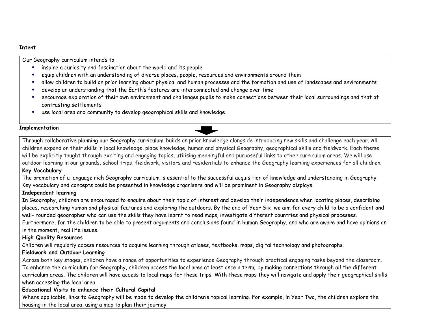#### **Intent**

Our Geography curriculum intends to:

- inspire a curiosity and fascination about the world and its people
- equip children with an understanding of diverse places, people, resources and environments around them
- allow children to build on prior learning about physical and human processes and the formation and use of landscapes and environments
- develop an understanding that the Earth's features are interconnected and change over time
- encourage exploration of their own environment and challenges pupils to make connections between their local surroundings and that of contrasting settlements
- use local area and community to develop geographical skills and knowledge.

#### **Implementation**

Through collaborative planning our Geography curriculum builds on prior knowledge alongside introducing new skills and challenge each year. All children expand on their skills in local knowledge, place knowledge, human and physical Geography, geographical skills and fieldwork. Each theme will be explicitly taught through exciting and engaging topics, utilising meaningful and purposeful links to other curriculum areas. We will use outdoor learning in our grounds, school trips, fieldwork, visitors and residentials to enhance the Geography learning experiences for all children.

#### **Key Vocabulary**

The promotion of a language rich Geography curriculum is essential to the successful acquisition of knowledge and understanding in Geography. Key vocabulary and concepts could be presented in knowledge organisers and will be prominent in Geography displays.

# **Independent learning**

In Geography, children are encouraged to enquire about their topic of interest and develop their independence when locating places, describing places, researching human and physical features and exploring the outdoors. By the end of Year Six, we aim for every child to be a confident and well- rounded geographer who can use the skills they have learnt to read maps, investigate different countries and physical processes.

Furthermore, for the children to be able to present arguments and conclusions found in human Geography, and who are aware and have opinions on in the moment, real life issues.

#### **High Quality Resources**

Children will regularly access resources to acquire learning through atlases, textbooks, maps, digital technology and photographs.

# **Fieldwork and Outdoor Learning**

Across both key stages, children have a range of opportunities to experience Geography through practical engaging tasks beyond the classroom. To enhance the curriculum for Geography, children access the local area at least once a term; by making connections through all the different curriculum areas. The children will have access to local maps for these trips. With these maps they will navigate and apply their geographical skills when accessing the local area.

# **Educational Visits to enhance their Cultural Capital**

Where applicable, links to Geography will be made to develop the children's topical learning. For example, in Year Two, the children explore the housing in the local area, using a map to plan their journey.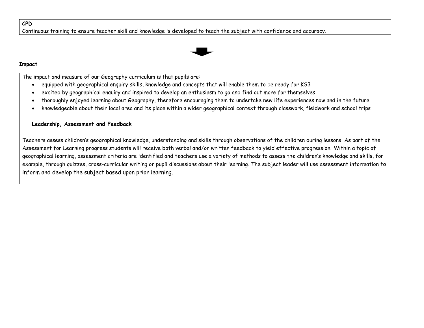Continuous training to ensure teacher skill and knowledge is developed to teach the subject with confidence and accuracy.



#### **Impact**

The impact and measure of our Geography curriculum is that pupils are:

- equipped with geographical enquiry skills, knowledge and concepts that will enable them to be ready for KS3
- excited by geographical enquiry and inspired to develop an enthusiasm to go and find out more for themselves
- thoroughly enjoyed learning about Geography, therefore encouraging them to undertake new life experiences now and in the future
- knowledgeable about their local area and its place within a wider geographical context through classwork, fieldwork and school trips

#### **Leadership, Assessment and Feedback**

Teachers assess children's geographical knowledge, understanding and skills through observations of the children during lessons. As part of the Assessment for Learning progress students will receive both verbal and/or written feedback to yield effective progression. Within a topic of geographical learning, assessment criteria are identified and teachers use a variety of methods to assess the children's knowledge and skills, for example, through quizzes, cross-curricular writing or pupil discussions about their learning. The subject leader will use assessment information to inform and develop the subject based upon prior learning.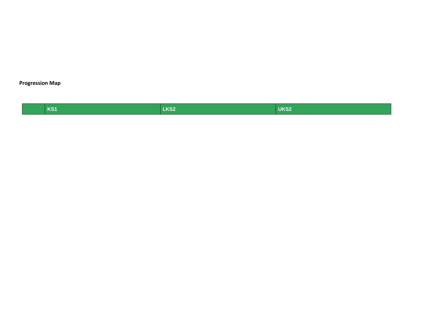**Progression Map**

| <b>ICA</b><br>nə i | LKS <sub>2</sub> | UKS2 |
|--------------------|------------------|------|
|                    |                  |      |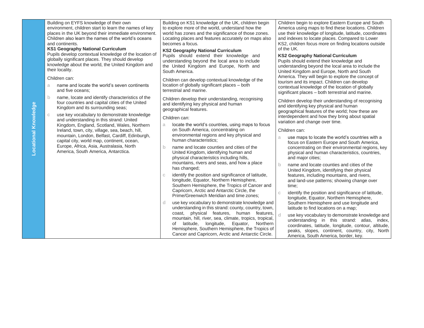| Building on EYFS knowledge of their own<br>environment, children start to learn the names of key<br>places in the UK beyond their immediate environment.<br>Children also learn the names of the world's oceans<br>and continents.<br><b>KS1 Geography National Curriculum</b> | Building on KS1 knowledge of the UK, children begin<br>to explore more of the world, understand how the<br>world has zones and the significance of those zones.<br>Locating places and features accurately on maps also<br>becomes a focus.                            | Children begin to explore Eastern Europe and South<br>America using maps to find these locations. Children<br>use their knowledge of longitude, latitude, coordinates<br>and indexes to locate places. Compared to Lower<br>KS2, children focus more on finding locations outside<br>of the UK. |
|--------------------------------------------------------------------------------------------------------------------------------------------------------------------------------------------------------------------------------------------------------------------------------|------------------------------------------------------------------------------------------------------------------------------------------------------------------------------------------------------------------------------------------------------------------------|-------------------------------------------------------------------------------------------------------------------------------------------------------------------------------------------------------------------------------------------------------------------------------------------------|
| Pupils develop contextual knowledge of the location of<br>globally significant places. They should develop<br>knowledge about the world, the United Kingdom and<br>their locality.                                                                                             | <b>KS2 Geography National Curriculum</b><br>Pupils should extend their knowledge and<br>understanding beyond the local area to include<br>the United Kingdom and Europe, North and<br>South America.                                                                   | <b>KS2 Geography National Curriculum</b><br>Pupils should extend their knowledge and<br>understanding beyond the local area to include the<br>United Kingdom and Europe, North and South                                                                                                        |
| Children can:<br>name and locate the world's seven continents<br>a<br>and five oceans:                                                                                                                                                                                         | Children can develop contextual knowledge of the<br>location of globally significant places - both<br>terrestrial and marine.                                                                                                                                          | America. They will begin to explore the concept of<br>tourism and its impact. Children can develop<br>contextual knowledge of the location of globally<br>significant places - both terrestrial and marine.                                                                                     |
| $\mathsf{b}$<br>name, locate and identify characteristics of the<br>four countries and capital cities of the United<br>Kingdom and its surrounding seas;                                                                                                                       | Children develop their understanding, recognising<br>and identifying key physical and human<br>geographical features.                                                                                                                                                  | Children develop their understanding of recognising<br>and identifying key physical and human<br>geographical features of the world; how these are                                                                                                                                              |
| use key vocabulary to demonstrate knowledge<br>$\mathbb{C}$<br>and understanding in this strand: United                                                                                                                                                                        | Children can:                                                                                                                                                                                                                                                          | interdependent and how they bring about spatial<br>variation and change over time.                                                                                                                                                                                                              |
| Kingdom, England, Scotland, Wales, Northern<br>Ireland, town, city, village, sea, beach, hill,<br>mountain, London, Belfast, Cardiff, Edinburgh,<br>capital city, world map, continent, ocean,                                                                                 | locate the world's countries, using maps to focus<br>a<br>on South America, concentrating on<br>environmental regions and key physical and<br>human characteristics;                                                                                                   | Children can:<br>use maps to locate the world's countries with a<br>a<br>focus on Eastern Europe and South America,                                                                                                                                                                             |
| Europe, Africa, Asia, Australasia, North<br>America, South America, Antarctica.                                                                                                                                                                                                | $\mathsf{b}$<br>name and locate counties and cities of the<br>United Kingdom, identifying human and<br>physical characteristics including hills,                                                                                                                       | concentrating on their environmental regions, key<br>physical and human characteristics, countries,<br>and major cities;                                                                                                                                                                        |
|                                                                                                                                                                                                                                                                                | mountains, rivers and seas, and how a place<br>has changed;                                                                                                                                                                                                            | name and locate counties and cities of the<br>b.<br>United Kingdom, identifying their physical                                                                                                                                                                                                  |
|                                                                                                                                                                                                                                                                                | identify the position and significance of latitude,<br>$\mathbb{C}$<br>longitude, Equator, Northern Hemisphere,<br>Southern Hemisphere, the Tropics of Cancer and                                                                                                      | features, including mountains, and rivers,<br>and land-use patterns; showing change over<br>time;                                                                                                                                                                                               |
|                                                                                                                                                                                                                                                                                | Capricorn, Arctic and Antarctic Circle, the<br>Prime/Greenwich Meridian and time zones;                                                                                                                                                                                | identify the position and significance of latitude,<br>C<br>longitude, Equator, Northern Hemisphere,                                                                                                                                                                                            |
|                                                                                                                                                                                                                                                                                | use key vocabulary to demonstrate knowledge and<br>d<br>understanding in this strand: county, country, town,                                                                                                                                                           | Southern Hemisphere and use longitude and<br>latitude to find locations on a map;                                                                                                                                                                                                               |
|                                                                                                                                                                                                                                                                                | physical features, human features,<br>coast.<br>mountain, hill, river, sea, climate, tropics, tropical,<br>latitude, longitude,<br>Equator,<br>Northern<br>of<br>Hemisphere, Southern Hemisphere, the Tropics of<br>Cancer and Capricorn, Arctic and Antarctic Circle. | use key vocabulary to demonstrate knowledge and<br>understanding in this strand: atlas, index,<br>coordinates, latitude, longitude, contour, altitude,<br>peaks, slopes, continent, country, city, North<br>America, South America, border, key.                                                |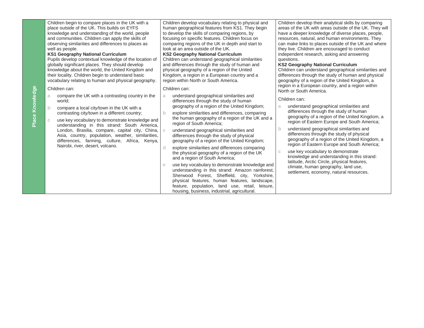| Children begin to compare places in the UK with a<br>place outside of the UK. This builds on EYFS<br>knowledge and understanding of the world, people<br>and communities. Children can apply the skills of<br>observing similarities and differences to places as<br>well as people.<br><b>KS1 Geography National Curriculum</b><br>Pupils develop contextual knowledge of the location of<br>globally significant places. They should develop<br>knowledge about the world, the United Kingdom and<br>their locality. Children begin to understand basic<br>vocabulary relating to human and physical geography. | Children develop vocabulary relating to physical and<br>human geographical features from KS1. They begin<br>to develop the skills of comparing regions, by<br>focusing on specific features. Children focus on<br>comparing regions of the UK in depth and start to<br>look at an area outside of the UK.<br><b>KS2 Geography National Curriculum</b><br>Children can understand geographical similarities<br>and differences through the study of human and<br>physical geography of a region of the United<br>Kingdom, a region in a European country and a<br>region within North or South America.                                                                                                                                                                                                                                                                                                     | Children develop their analytical skills by comparing<br>areas of the UK with areas outside of the UK. They will<br>have a deeper knowledge of diverse places, people,<br>resources, natural, and human environments. They<br>can make links to places outside of the UK and where<br>they live. Children are encouraged to conduct<br>independent research, asking and answering<br>questions.<br><b>KS2 Geography National Curriculum</b><br>Children can understand geographical similarities and<br>differences through the study of human and physical<br>geography of a region of the United Kingdom, a                  |  |
|-------------------------------------------------------------------------------------------------------------------------------------------------------------------------------------------------------------------------------------------------------------------------------------------------------------------------------------------------------------------------------------------------------------------------------------------------------------------------------------------------------------------------------------------------------------------------------------------------------------------|------------------------------------------------------------------------------------------------------------------------------------------------------------------------------------------------------------------------------------------------------------------------------------------------------------------------------------------------------------------------------------------------------------------------------------------------------------------------------------------------------------------------------------------------------------------------------------------------------------------------------------------------------------------------------------------------------------------------------------------------------------------------------------------------------------------------------------------------------------------------------------------------------------|--------------------------------------------------------------------------------------------------------------------------------------------------------------------------------------------------------------------------------------------------------------------------------------------------------------------------------------------------------------------------------------------------------------------------------------------------------------------------------------------------------------------------------------------------------------------------------------------------------------------------------|--|
| Children can:                                                                                                                                                                                                                                                                                                                                                                                                                                                                                                                                                                                                     | Children can:                                                                                                                                                                                                                                                                                                                                                                                                                                                                                                                                                                                                                                                                                                                                                                                                                                                                                              | region in a European country, and a region within<br>North or South America.                                                                                                                                                                                                                                                                                                                                                                                                                                                                                                                                                   |  |
| compare the UK with a contrasting country in the<br>a<br>world:<br>$\mathbf b$<br>compare a local city/town in the UK with a<br>contrasting city/town in a different country;<br>use key vocabulary to demonstrate knowledge and<br>$\mathbb{C}$<br>understanding in this strand: South America,<br>London, Brasilia, compare, capital city, China,<br>Asia, country, population, weather, similarities,<br>differences, farming, culture, Africa, Kenya,<br>Nairobi, river, desert, volcano.                                                                                                                     | understand geographical similarities and<br>a<br>differences through the study of human<br>geography of a region of the United Kingdom;<br>explore similarities and differences, comparing<br>$\mathbf b$<br>the human geography of a region of the UK and a<br>region of South America;<br>understand geographical similarities and<br>$\mathbb{C}$<br>differences through the study of physical<br>geography of a region of the United Kingdom;<br>explore similarities and differences comparing<br>d<br>the physical geography of a region of the UK<br>and a region of South America;<br>use key vocabulary to demonstrate knowledge and<br>e<br>understanding in this strand: Amazon rainforest,<br>Sherwood Forest, Sheffield, city, Yorkshire,<br>physical features, human features, landscape,<br>feature, population, land use, retail, leisure,<br>housing, business, industrial, agricultural. | Children can:<br>understand geographical similarities and<br>a.<br>differences through the study of human<br>geography of a region of the United Kingdom, a<br>region of Eastern Europe and South America;<br>understand geographical similarities and<br>differences through the study of physical<br>geography of a region of the United Kingdom, a<br>region of Eastern Europe and South America;<br>use key vocabulary to demonstrate<br>С<br>knowledge and understanding in this strand:<br>latitude, Arctic Circle, physical features,<br>climate, human geography, land use,<br>settlement, economy, natural resources. |  |

**Place Knowledge**

Place Knowledge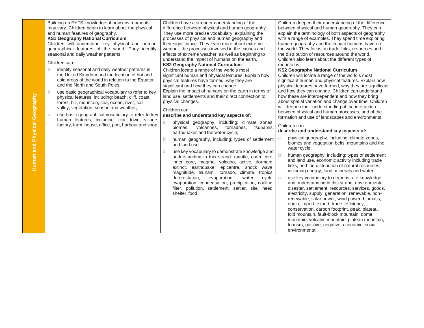| Building on EYFS knowledge of how environments<br>may vary. Children begin to learn about the physical<br>and human features of geography.<br><b>KS1 Geography National Curriculum</b><br>Children will understand key physical and human<br>geographical features of the world. They identify<br>seasonal and daily weather patterns.<br>Children can:<br>identify seasonal and daily weather patterns in<br>a.<br>the United Kingdom and the location of hot and<br>cold areas of the world in relation to the Equator<br>and the North and South Poles;<br>use basic geographical vocabulary to refer to key<br>$\mathsf{b}$<br>physical features, including: beach, cliff, coast,<br>forest, hill, mountain, sea, ocean, river, soil,<br>valley, vegetation, season and weather;<br>use basic geographical vocabulary to refer to key<br>С<br>human features, including: city, town, village,<br>factory, farm, house, office, port, harbour and shop. | Children have a stronger understanding of the<br>difference between physical and human geography.<br>They use more precise vocabulary, explaining the<br>processes of physical and human geography and<br>their significance. They learn more about extreme<br>weather, the processes involved in the causes and<br>effects of extreme weather, as well as beginning to<br>understand the impact of humans on the earth.<br><b>KS2 Geography National Curriculum</b><br>Children locate a range of the world's most<br>significant human and physical features. Explain how<br>physical features have formed, why they are<br>significant and how they can change.<br>Explain the impact of humans on the earth in terms of<br>land use, settlements and their direct connection to<br>physical changes.<br>Children can:<br>describe and understand key aspects of:<br>a<br>physical geography, including: climate zones,<br>volcanoes.<br>tornadoes,<br>biomes.<br>tsunamis,<br>earthquakes and the water cycle; | Children deepen their understanding of the difference<br>between physical and human geography. They can<br>explain the terminology of both aspects of geography<br>with a range of examples. They spend time exploring<br>human geography and the impact humans have on<br>the world. They focus on trade links, resources and<br>the distribution of resources around the world.<br>Children also learn about the different types of<br>mountains.<br><b>KS2 Geography National Curriculum</b><br>Children will locate a range of the world's most<br>significant human and physical features. Explain how<br>physical features have formed, why they are significant<br>and how they can change. Children can understand<br>how these are interdependent and how they bring<br>about spatial variation and change over time. Children<br>will deepen their understanding of the interaction<br>between physical and human processes, and of the<br>formation and use of landscapes and environments.<br>Children can:<br>describe and understand key aspects of: |
|------------------------------------------------------------------------------------------------------------------------------------------------------------------------------------------------------------------------------------------------------------------------------------------------------------------------------------------------------------------------------------------------------------------------------------------------------------------------------------------------------------------------------------------------------------------------------------------------------------------------------------------------------------------------------------------------------------------------------------------------------------------------------------------------------------------------------------------------------------------------------------------------------------------------------------------------------------|--------------------------------------------------------------------------------------------------------------------------------------------------------------------------------------------------------------------------------------------------------------------------------------------------------------------------------------------------------------------------------------------------------------------------------------------------------------------------------------------------------------------------------------------------------------------------------------------------------------------------------------------------------------------------------------------------------------------------------------------------------------------------------------------------------------------------------------------------------------------------------------------------------------------------------------------------------------------------------------------------------------------|--------------------------------------------------------------------------------------------------------------------------------------------------------------------------------------------------------------------------------------------------------------------------------------------------------------------------------------------------------------------------------------------------------------------------------------------------------------------------------------------------------------------------------------------------------------------------------------------------------------------------------------------------------------------------------------------------------------------------------------------------------------------------------------------------------------------------------------------------------------------------------------------------------------------------------------------------------------------------------------------------------------------------------------------------------------------|
|                                                                                                                                                                                                                                                                                                                                                                                                                                                                                                                                                                                                                                                                                                                                                                                                                                                                                                                                                            | human geography, including: types of settlement<br>b<br>and land use:                                                                                                                                                                                                                                                                                                                                                                                                                                                                                                                                                                                                                                                                                                                                                                                                                                                                                                                                              | physical geography, including: climate zones,<br>a.<br>biomes and vegetation belts, mountains and the<br>water cycle;                                                                                                                                                                                                                                                                                                                                                                                                                                                                                                                                                                                                                                                                                                                                                                                                                                                                                                                                              |
|                                                                                                                                                                                                                                                                                                                                                                                                                                                                                                                                                                                                                                                                                                                                                                                                                                                                                                                                                            | use key vocabulary to demonstrate knowledge and<br>C<br>understanding in this strand: mantle, outer core,<br>inner core, magma, volcano, active, dormant,<br>extinct, earthquake, epicentre, shock wave,<br>magnitude, tsunami, tornado, climate, tropics,<br>deforestation,<br>evaporation,<br>water<br>cycle,<br>evaporation, condensation, precipitation, cooling,<br>filter, pollution, settlement, settler, site, need,<br>shelter, food.                                                                                                                                                                                                                                                                                                                                                                                                                                                                                                                                                                     | b.<br>human geography, including: types of settlement<br>and land use, economic activity including trade<br>links, and the distribution of natural resources<br>including energy, food, minerals and water;<br>use key vocabulary to demonstrate knowledge<br>and understanding in this strand: environmental<br>disaster, settlement, resources, services, goods,<br>electricity, supply, generation, renewable, non-<br>renewable, solar power, wind power, biomass,<br>origin, import, export, trade, efficiency,<br>conservation, carbon footprint, peak, plateau,<br>fold mountain, fault-block mountain, dome<br>mountain, volcanic mountain, plateau mountain,<br>tourism, positive, negative, economic, social,                                                                                                                                                                                                                                                                                                                                            |